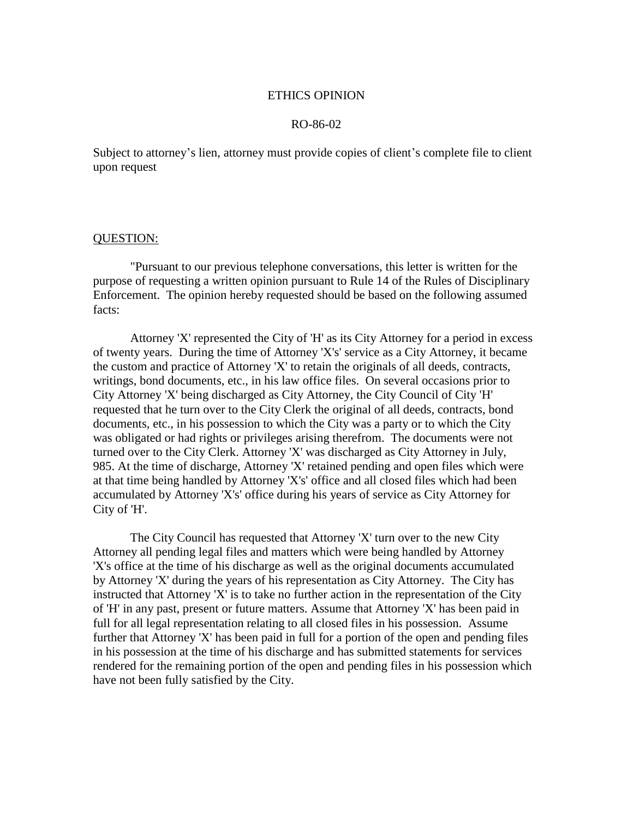# ETHICS OPINION

# RO-86-02

Subject to attorney's lien, attorney must provide copies of client's complete file to client upon request

# QUESTION:

"Pursuant to our previous telephone conversations, this letter is written for the purpose of requesting a written opinion pursuant to Rule 14 of the Rules of Disciplinary Enforcement. The opinion hereby requested should be based on the following assumed facts:

Attorney 'X' represented the City of 'H' as its City Attorney for a period in excess of twenty years. During the time of Attorney 'X's' service as a City Attorney, it became the custom and practice of Attorney 'X' to retain the originals of all deeds, contracts, writings, bond documents, etc., in his law office files. On several occasions prior to City Attorney 'X' being discharged as City Attorney, the City Council of City 'H' requested that he turn over to the City Clerk the original of all deeds, contracts, bond documents, etc., in his possession to which the City was a party or to which the City was obligated or had rights or privileges arising therefrom. The documents were not turned over to the City Clerk. Attorney 'X' was discharged as City Attorney in July, 985. At the time of discharge, Attorney 'X' retained pending and open files which were at that time being handled by Attorney 'X's' office and all closed files which had been accumulated by Attorney 'X's' office during his years of service as City Attorney for City of 'H'.

The City Council has requested that Attorney 'X' turn over to the new City Attorney all pending legal files and matters which were being handled by Attorney 'X's office at the time of his discharge as well as the original documents accumulated by Attorney 'X' during the years of his representation as City Attorney. The City has instructed that Attorney 'X' is to take no further action in the representation of the City of 'H' in any past, present or future matters. Assume that Attorney 'X' has been paid in full for all legal representation relating to all closed files in his possession. Assume further that Attorney 'X' has been paid in full for a portion of the open and pending files in his possession at the time of his discharge and has submitted statements for services rendered for the remaining portion of the open and pending files in his possession which have not been fully satisfied by the City.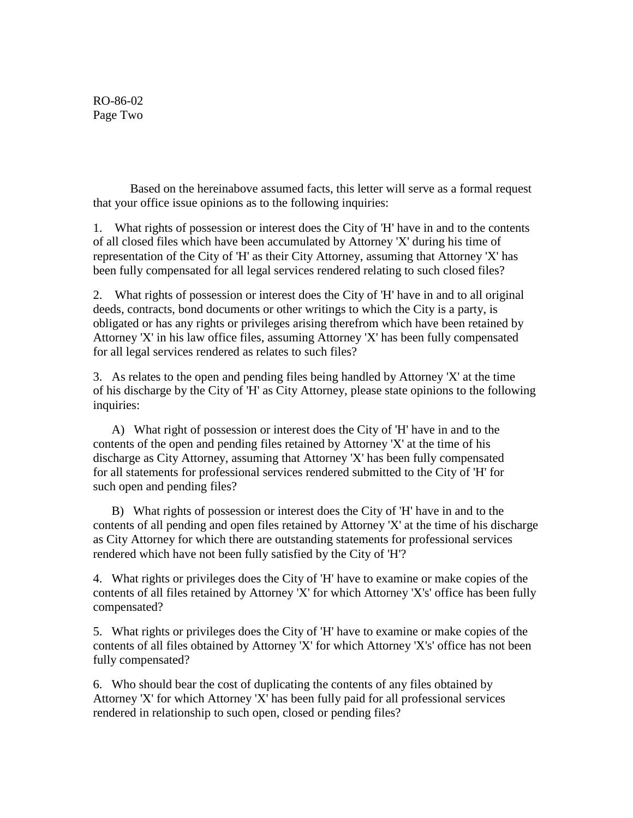RO-86-02 Page Two

Based on the hereinabove assumed facts, this letter will serve as a formal request that your office issue opinions as to the following inquiries:

1. What rights of possession or interest does the City of 'H' have in and to the contents of all closed files which have been accumulated by Attorney 'X' during his time of representation of the City of 'H' as their City Attorney, assuming that Attorney 'X' has been fully compensated for all legal services rendered relating to such closed files?

2. What rights of possession or interest does the City of 'H' have in and to all original deeds, contracts, bond documents or other writings to which the City is a party, is obligated or has any rights or privileges arising therefrom which have been retained by Attorney 'X' in his law office files, assuming Attorney 'X' has been fully compensated for all legal services rendered as relates to such files?

3. As relates to the open and pending files being handled by Attorney 'X' at the time of his discharge by the City of 'H' as City Attorney, please state opinions to the following inquiries:

 A) What right of possession or interest does the City of 'H' have in and to the contents of the open and pending files retained by Attorney 'X' at the time of his discharge as City Attorney, assuming that Attorney 'X' has been fully compensated for all statements for professional services rendered submitted to the City of 'H' for such open and pending files?

 B) What rights of possession or interest does the City of 'H' have in and to the contents of all pending and open files retained by Attorney 'X' at the time of his discharge as City Attorney for which there are outstanding statements for professional services rendered which have not been fully satisfied by the City of 'H'?

4. What rights or privileges does the City of 'H' have to examine or make copies of the contents of all files retained by Attorney 'X' for which Attorney 'X's' office has been fully compensated?

5. What rights or privileges does the City of 'H' have to examine or make copies of the contents of all files obtained by Attorney 'X' for which Attorney 'X's' office has not been fully compensated?

6. Who should bear the cost of duplicating the contents of any files obtained by Attorney 'X' for which Attorney 'X' has been fully paid for all professional services rendered in relationship to such open, closed or pending files?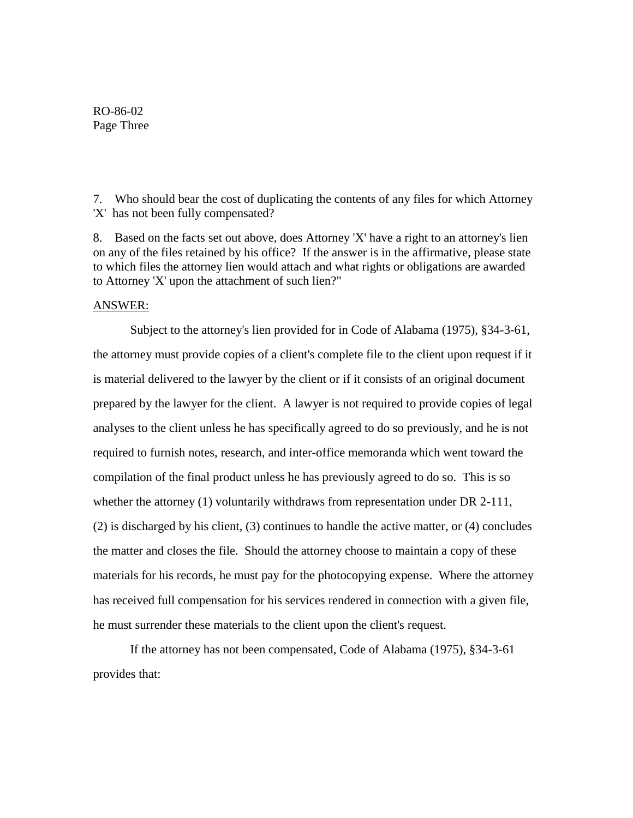RO-86-02 Page Three

7. Who should bear the cost of duplicating the contents of any files for which Attorney 'X' has not been fully compensated?

8. Based on the facts set out above, does Attorney 'X' have a right to an attorney's lien on any of the files retained by his office? If the answer is in the affirmative, please state to which files the attorney lien would attach and what rights or obligations are awarded to Attorney 'X' upon the attachment of such lien?"

# ANSWER:

Subject to the attorney's lien provided for in Code of Alabama (1975), §34-3-61, the attorney must provide copies of a client's complete file to the client upon request if it is material delivered to the lawyer by the client or if it consists of an original document prepared by the lawyer for the client. A lawyer is not required to provide copies of legal analyses to the client unless he has specifically agreed to do so previously, and he is not required to furnish notes, research, and inter-office memoranda which went toward the compilation of the final product unless he has previously agreed to do so. This is so whether the attorney (1) voluntarily withdraws from representation under DR 2-111, (2) is discharged by his client, (3) continues to handle the active matter, or (4) concludes the matter and closes the file. Should the attorney choose to maintain a copy of these materials for his records, he must pay for the photocopying expense. Where the attorney has received full compensation for his services rendered in connection with a given file, he must surrender these materials to the client upon the client's request.

If the attorney has not been compensated, Code of Alabama (1975), §34-3-61 provides that: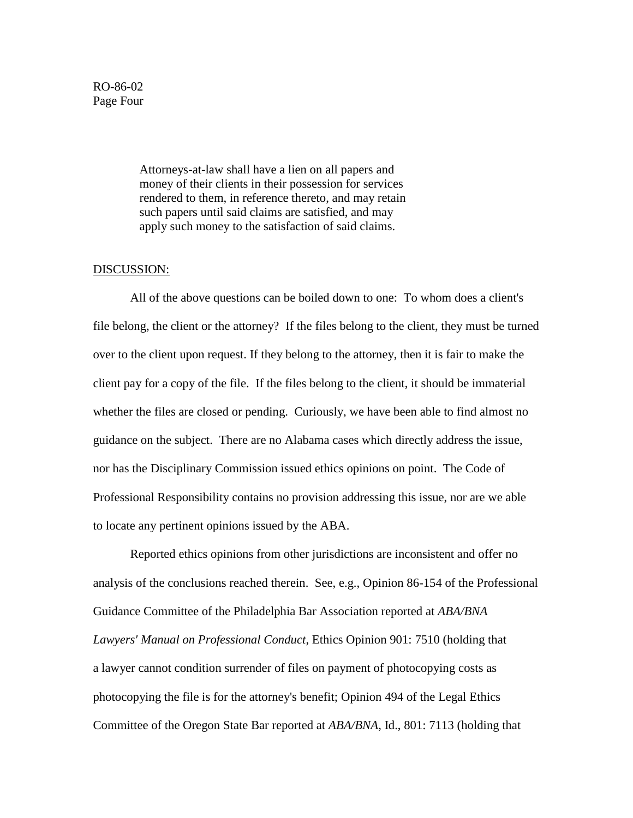RO-86-02 Page Four

> Attorneys-at-law shall have a lien on all papers and money of their clients in their possession for services rendered to them, in reference thereto, and may retain such papers until said claims are satisfied, and may apply such money to the satisfaction of said claims.

#### DISCUSSION:

All of the above questions can be boiled down to one: To whom does a client's file belong, the client or the attorney? If the files belong to the client, they must be turned over to the client upon request. If they belong to the attorney, then it is fair to make the client pay for a copy of the file. If the files belong to the client, it should be immaterial whether the files are closed or pending. Curiously, we have been able to find almost no guidance on the subject. There are no Alabama cases which directly address the issue, nor has the Disciplinary Commission issued ethics opinions on point. The Code of Professional Responsibility contains no provision addressing this issue, nor are we able to locate any pertinent opinions issued by the ABA.

Reported ethics opinions from other jurisdictions are inconsistent and offer no analysis of the conclusions reached therein. See, e.g., Opinion 86-154 of the Professional Guidance Committee of the Philadelphia Bar Association reported at *ABA/BNA Lawyers' Manual on Professional Conduct*, Ethics Opinion 901: 7510 (holding that a lawyer cannot condition surrender of files on payment of photocopying costs as photocopying the file is for the attorney's benefit; Opinion 494 of the Legal Ethics Committee of the Oregon State Bar reported at *ABA/BNA*, Id., 801: 7113 (holding that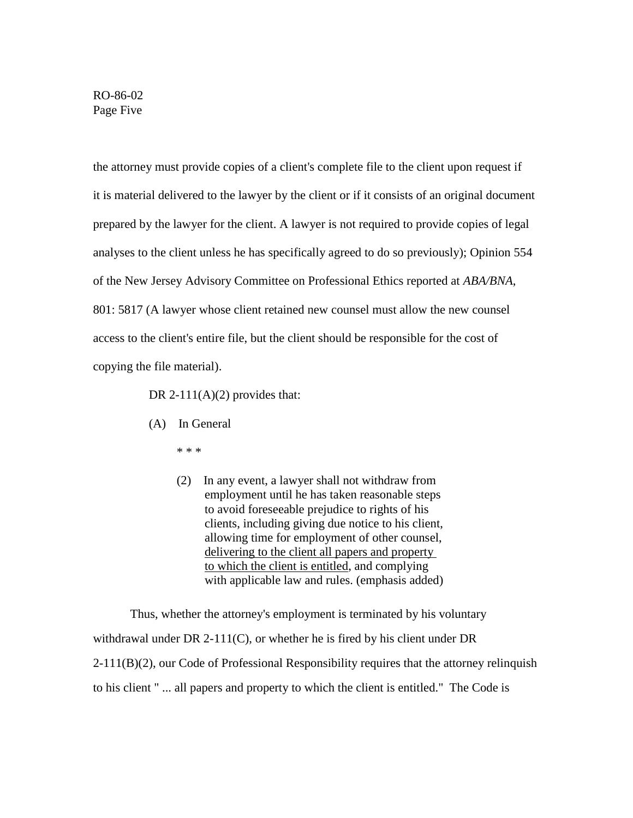RO-86-02 Page Five

the attorney must provide copies of a client's complete file to the client upon request if it is material delivered to the lawyer by the client or if it consists of an original document prepared by the lawyer for the client. A lawyer is not required to provide copies of legal analyses to the client unless he has specifically agreed to do so previously); Opinion 554 of the New Jersey Advisory Committee on Professional Ethics reported at *ABA/BNA*, 801: 5817 (A lawyer whose client retained new counsel must allow the new counsel access to the client's entire file, but the client should be responsible for the cost of copying the file material).

DR 2-111(A)(2) provides that:

- (A) In General
	- \* \* \*
	- (2) In any event, a lawyer shall not withdraw from employment until he has taken reasonable steps to avoid foreseeable prejudice to rights of his clients, including giving due notice to his client, allowing time for employment of other counsel, delivering to the client all papers and property to which the client is entitled, and complying with applicable law and rules. (emphasis added)

Thus, whether the attorney's employment is terminated by his voluntary withdrawal under DR 2-111(C), or whether he is fired by his client under DR 2-111(B)(2), our Code of Professional Responsibility requires that the attorney relinquish to his client " ... all papers and property to which the client is entitled." The Code is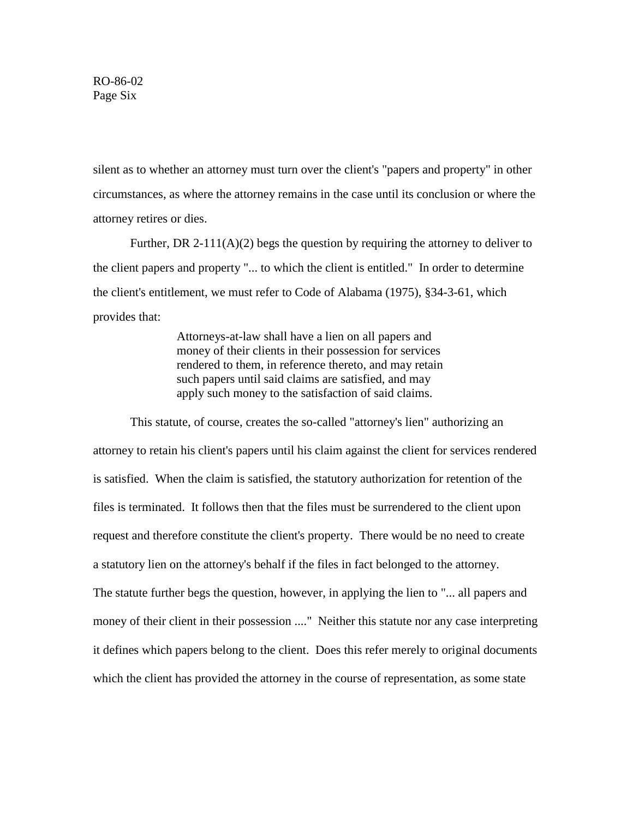RO-86-02 Page Six

silent as to whether an attorney must turn over the client's "papers and property" in other circumstances, as where the attorney remains in the case until its conclusion or where the attorney retires or dies.

Further, DR 2-111( $A$ )(2) begs the question by requiring the attorney to deliver to the client papers and property "... to which the client is entitled." In order to determine the client's entitlement, we must refer to Code of Alabama (1975), §34-3-61, which provides that:

> Attorneys-at-law shall have a lien on all papers and money of their clients in their possession for services rendered to them, in reference thereto, and may retain such papers until said claims are satisfied, and may apply such money to the satisfaction of said claims.

This statute, of course, creates the so-called "attorney's lien" authorizing an attorney to retain his client's papers until his claim against the client for services rendered is satisfied. When the claim is satisfied, the statutory authorization for retention of the files is terminated. It follows then that the files must be surrendered to the client upon request and therefore constitute the client's property. There would be no need to create a statutory lien on the attorney's behalf if the files in fact belonged to the attorney. The statute further begs the question, however, in applying the lien to "... all papers and money of their client in their possession ...." Neither this statute nor any case interpreting it defines which papers belong to the client. Does this refer merely to original documents which the client has provided the attorney in the course of representation, as some state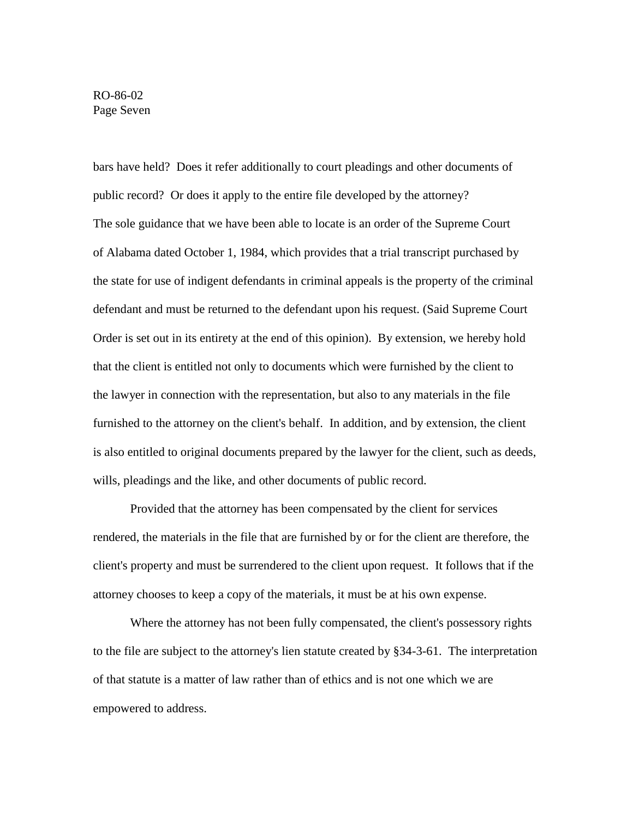bars have held? Does it refer additionally to court pleadings and other documents of public record? Or does it apply to the entire file developed by the attorney? The sole guidance that we have been able to locate is an order of the Supreme Court of Alabama dated October 1, 1984, which provides that a trial transcript purchased by the state for use of indigent defendants in criminal appeals is the property of the criminal defendant and must be returned to the defendant upon his request. (Said Supreme Court Order is set out in its entirety at the end of this opinion). By extension, we hereby hold that the client is entitled not only to documents which were furnished by the client to the lawyer in connection with the representation, but also to any materials in the file furnished to the attorney on the client's behalf. In addition, and by extension, the client is also entitled to original documents prepared by the lawyer for the client, such as deeds, wills, pleadings and the like, and other documents of public record.

Provided that the attorney has been compensated by the client for services rendered, the materials in the file that are furnished by or for the client are therefore, the client's property and must be surrendered to the client upon request. It follows that if the attorney chooses to keep a copy of the materials, it must be at his own expense.

Where the attorney has not been fully compensated, the client's possessory rights to the file are subject to the attorney's lien statute created by §34-3-61. The interpretation of that statute is a matter of law rather than of ethics and is not one which we are empowered to address.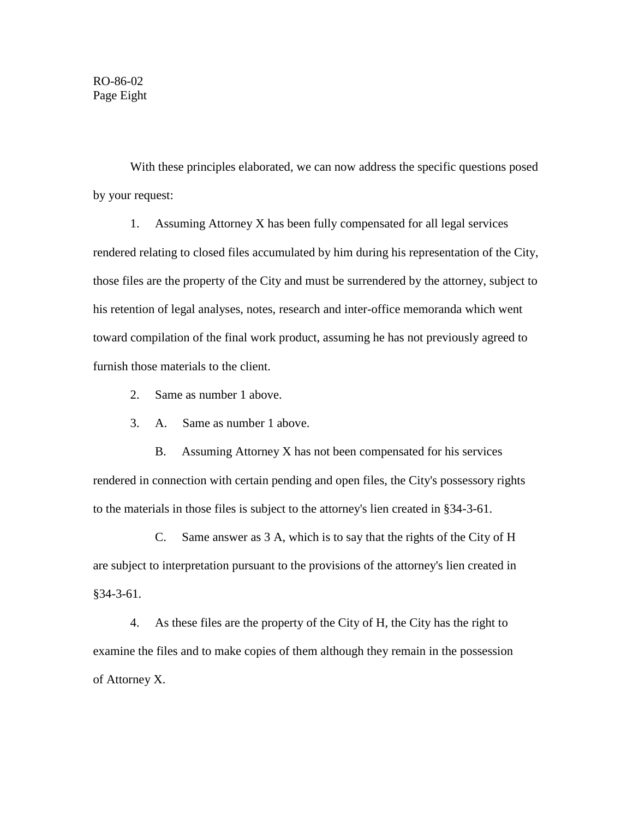With these principles elaborated, we can now address the specific questions posed by your request:

1. Assuming Attorney X has been fully compensated for all legal services rendered relating to closed files accumulated by him during his representation of the City, those files are the property of the City and must be surrendered by the attorney, subject to his retention of legal analyses, notes, research and inter-office memoranda which went toward compilation of the final work product, assuming he has not previously agreed to furnish those materials to the client.

- 2. Same as number 1 above.
- 3. A. Same as number 1 above.

 B. Assuming Attorney X has not been compensated for his services rendered in connection with certain pending and open files, the City's possessory rights to the materials in those files is subject to the attorney's lien created in §34-3-61.

 C. Same answer as 3 A, which is to say that the rights of the City of H are subject to interpretation pursuant to the provisions of the attorney's lien created in §34-3-61.

4. As these files are the property of the City of H, the City has the right to examine the files and to make copies of them although they remain in the possession of Attorney X.